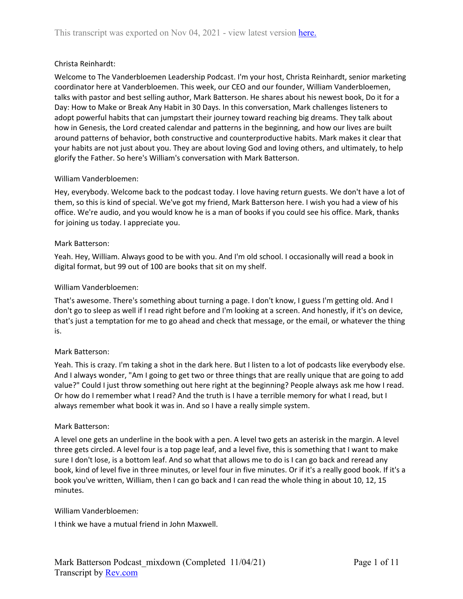# Christa Reinhardt:

Welcome to The Vanderbloemen Leadership Podcast. I'm your host, Christa Reinhardt, senior marketing coordinator here at Vanderbloemen. This week, our CEO and our founder, William Vanderbloemen, talks with pastor and best selling author, Mark Batterson. He shares about his newest book, Do it for a Day: How to Make or Break Any Habit in 30 Days. In this conversation, Mark challenges listeners to adopt powerful habits that can jumpstart their journey toward reaching big dreams. They talk about how in Genesis, the Lord created calendar and patterns in the beginning, and how our lives are built around patterns of behavior, both constructive and counterproductive habits. Mark makes it clear that your habits are not just about you. They are about loving God and loving others, and ultimately, to help glorify the Father. So here's William's conversation with Mark Batterson.

# William Vanderbloemen:

Hey, everybody. Welcome back to the podcast today. I love having return guests. We don't have a lot of them, so this is kind of special. We've got my friend, Mark Batterson here. I wish you had a view of his office. We're audio, and you would know he is a man of books if you could see his office. Mark, thanks for joining us today. I appreciate you.

# Mark Batterson:

Yeah. Hey, William. Always good to be with you. And I'm old school. I occasionally will read a book in digital format, but 99 out of 100 are books that sit on my shelf.

# William Vanderbloemen:

That's awesome. There's something about turning a page. I don't know, I guess I'm getting old. And I don't go to sleep as well if I read right before and I'm looking at a screen. And honestly, if it's on device, that's just a temptation for me to go ahead and check that message, or the email, or whatever the thing is.

# Mark Batterson:

Yeah. This is crazy. I'm taking a shot in the dark here. But I listen to a lot of podcasts like everybody else. And I always wonder, "Am I going to get two or three things that are really unique that are going to add value?" Could I just throw something out here right at the beginning? People always ask me how I read. Or how do I remember what I read? And the truth is I have a terrible memory for what I read, but I always remember what book it was in. And so I have a really simple system.

# Mark Batterson:

A level one gets an underline in the book with a pen. A level two gets an asterisk in the margin. A level three gets circled. A level four is a top page leaf, and a level five, this is something that I want to make sure I don't lose, is a bottom leaf. And so what that allows me to do is I can go back and reread any book, kind of level five in three minutes, or level four in five minutes. Or if it's a really good book. If it's a book you've written, William, then I can go back and I can read the whole thing in about 10, 12, 15 minutes.

# William Vanderbloemen:

I think we have a mutual friend in John Maxwell.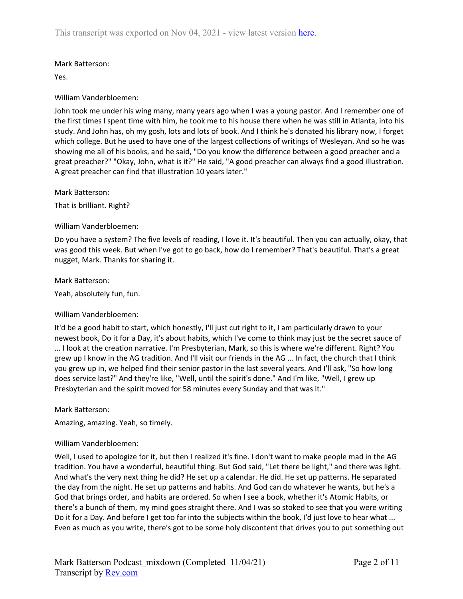# Mark Batterson:

Yes.

# William Vanderbloemen:

John took me under his wing many, many years ago when I was a young pastor. And I remember one of the first times I spent time with him, he took me to his house there when he was still in Atlanta, into his study. And John has, oh my gosh, lots and lots of book. And I think he's donated his library now, I forget which college. But he used to have one of the largest collections of writings of Wesleyan. And so he was showing me all of his books, and he said, "Do you know the difference between a good preacher and a great preacher?" "Okay, John, what is it?" He said, "A good preacher can always find a good illustration. A great preacher can find that illustration 10 years later."

Mark Batterson:

That is brilliant. Right?

# William Vanderbloemen:

Do you have a system? The five levels of reading, I love it. It's beautiful. Then you can actually, okay, that was good this week. But when I've got to go back, how do I remember? That's beautiful. That's a great nugget, Mark. Thanks for sharing it.

Mark Batterson:

Yeah, absolutely fun, fun.

# William Vanderbloemen:

It'd be a good habit to start, which honestly, I'll just cut right to it, I am particularly drawn to your newest book, Do it for a Day, it's about habits, which I've come to think may just be the secret sauce of ... I look at the creation narrative. I'm Presbyterian, Mark, so this is where we're different. Right? You grew up I know in the AG tradition. And I'll visit our friends in the AG ... In fact, the church that I think you grew up in, we helped find their senior pastor in the last several years. And I'll ask, "So how long does service last?" And they're like, "Well, until the spirit's done." And I'm like, "Well, I grew up Presbyterian and the spirit moved for 58 minutes every Sunday and that was it."

# Mark Batterson:

Amazing, amazing. Yeah, so timely.

# William Vanderbloemen:

Well, I used to apologize for it, but then I realized it's fine. I don't want to make people mad in the AG tradition. You have a wonderful, beautiful thing. But God said, "Let there be light," and there was light. And what's the very next thing he did? He set up a calendar. He did. He set up patterns. He separated the day from the night. He set up patterns and habits. And God can do whatever he wants, but he's a God that brings order, and habits are ordered. So when I see a book, whether it's Atomic Habits, or there's a bunch of them, my mind goes straight there. And I was so stoked to see that you were writing Do it for a Day. And before I get too far into the subjects within the book, I'd just love to hear what ... Even as much as you write, there's got to be some holy discontent that drives you to put something out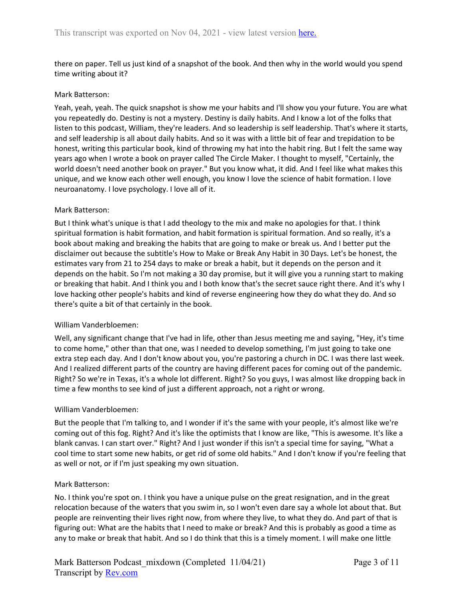there on paper. Tell us just kind of a snapshot of the book. And then why in the world would you spend time writing about it?

# Mark Batterson:

Yeah, yeah, yeah. The quick snapshot is show me your habits and I'll show you your future. You are what you repeatedly do. Destiny is not a mystery. Destiny is daily habits. And I know a lot of the folks that listen to this podcast, William, they're leaders. And so leadership is self leadership. That's where it starts, and self leadership is all about daily habits. And so it was with a little bit of fear and trepidation to be honest, writing this particular book, kind of throwing my hat into the habit ring. But I felt the same way years ago when I wrote a book on prayer called The Circle Maker. I thought to myself, "Certainly, the world doesn't need another book on prayer." But you know what, it did. And I feel like what makes this unique, and we know each other well enough, you know I love the science of habit formation. I love neuroanatomy. I love psychology. I love all of it.

# Mark Batterson:

But I think what's unique is that I add theology to the mix and make no apologies for that. I think spiritual formation is habit formation, and habit formation is spiritual formation. And so really, it's a book about making and breaking the habits that are going to make or break us. And I better put the disclaimer out because the subtitle's How to Make or Break Any Habit in 30 Days. Let's be honest, the estimates vary from 21 to 254 days to make or break a habit, but it depends on the person and it depends on the habit. So I'm not making a 30 day promise, but it will give you a running start to making or breaking that habit. And I think you and I both know that's the secret sauce right there. And it's why I love hacking other people's habits and kind of reverse engineering how they do what they do. And so there's quite a bit of that certainly in the book.

# William Vanderbloemen:

Well, any significant change that I've had in life, other than Jesus meeting me and saying, "Hey, it's time to come home," other than that one, was I needed to develop something, I'm just going to take one extra step each day. And I don't know about you, you're pastoring a church in DC. I was there last week. And I realized different parts of the country are having different paces for coming out of the pandemic. Right? So we're in Texas, it's a whole lot different. Right? So you guys, I was almost like dropping back in time a few months to see kind of just a different approach, not a right or wrong.

# William Vanderbloemen:

But the people that I'm talking to, and I wonder if it's the same with your people, it's almost like we're coming out of this fog. Right? And it's like the optimists that I know are like, "This is awesome. It's like a blank canvas. I can start over." Right? And I just wonder if this isn't a special time for saying, "What a cool time to start some new habits, or get rid of some old habits." And I don't know if you're feeling that as well or not, or if I'm just speaking my own situation.

# Mark Batterson:

No. I think you're spot on. I think you have a unique pulse on the great resignation, and in the great relocation because of the waters that you swim in, so I won't even dare say a whole lot about that. But people are reinventing their lives right now, from where they live, to what they do. And part of that is figuring out: What are the habits that I need to make or break? And this is probably as good a time as any to make or break that habit. And so I do think that this is a timely moment. I will make one little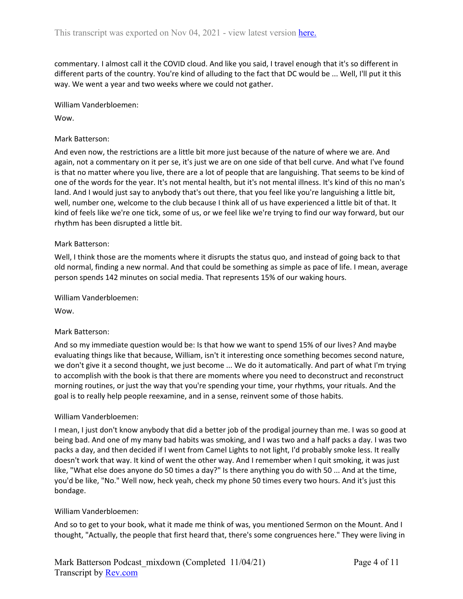commentary. I almost call it the COVID cloud. And like you said, I travel enough that it's so different in different parts of the country. You're kind of alluding to the fact that DC would be ... Well, I'll put it this way. We went a year and two weeks where we could not gather.

William Vanderbloemen:

Wow.

# Mark Batterson:

And even now, the restrictions are a little bit more just because of the nature of where we are. And again, not a commentary on it per se, it's just we are on one side of that bell curve. And what I've found is that no matter where you live, there are a lot of people that are languishing. That seems to be kind of one of the words for the year. It's not mental health, but it's not mental illness. It's kind of this no man's land. And I would just say to anybody that's out there, that you feel like you're languishing a little bit, well, number one, welcome to the club because I think all of us have experienced a little bit of that. It kind of feels like we're one tick, some of us, or we feel like we're trying to find our way forward, but our rhythm has been disrupted a little bit.

# Mark Batterson:

Well, I think those are the moments where it disrupts the status quo, and instead of going back to that old normal, finding a new normal. And that could be something as simple as pace of life. I mean, average person spends 142 minutes on social media. That represents 15% of our waking hours.

William Vanderbloemen:

Wow.

# Mark Batterson:

And so my immediate question would be: Is that how we want to spend 15% of our lives? And maybe evaluating things like that because, William, isn't it interesting once something becomes second nature, we don't give it a second thought, we just become ... We do it automatically. And part of what I'm trying to accomplish with the book is that there are moments where you need to deconstruct and reconstruct morning routines, or just the way that you're spending your time, your rhythms, your rituals. And the goal is to really help people reexamine, and in a sense, reinvent some of those habits.

# William Vanderbloemen:

I mean, I just don't know anybody that did a better job of the prodigal journey than me. I was so good at being bad. And one of my many bad habits was smoking, and I was two and a half packs a day. I was two packs a day, and then decided if I went from Camel Lights to not light, I'd probably smoke less. It really doesn't work that way. It kind of went the other way. And I remember when I quit smoking, it was just like, "What else does anyone do 50 times a day?" Is there anything you do with 50 ... And at the time, you'd be like, "No." Well now, heck yeah, check my phone 50 times every two hours. And it's just this bondage.

# William Vanderbloemen:

And so to get to your book, what it made me think of was, you mentioned Sermon on the Mount. And I thought, "Actually, the people that first heard that, there's some congruences here." They were living in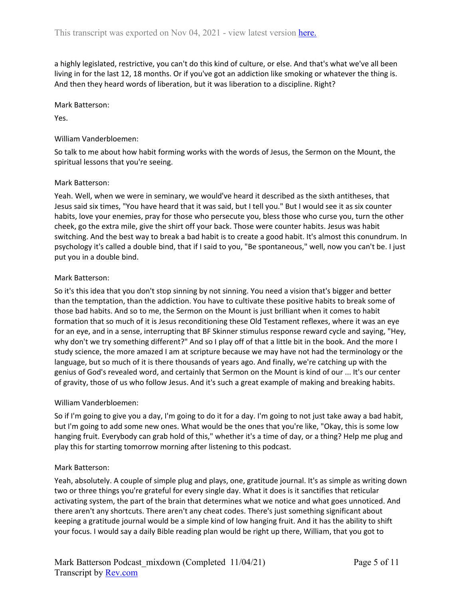a highly legislated, restrictive, you can't do this kind of culture, or else. And that's what we've all been living in for the last 12, 18 months. Or if you've got an addiction like smoking or whatever the thing is. And then they heard words of liberation, but it was liberation to a discipline. Right?

#### Mark Batterson:

Yes.

# William Vanderbloemen:

So talk to me about how habit forming works with the words of Jesus, the Sermon on the Mount, the spiritual lessons that you're seeing.

# Mark Batterson:

Yeah. Well, when we were in seminary, we would've heard it described as the sixth antitheses, that Jesus said six times, "You have heard that it was said, but I tell you." But I would see it as six counter habits, love your enemies, pray for those who persecute you, bless those who curse you, turn the other cheek, go the extra mile, give the shirt off your back. Those were counter habits. Jesus was habit switching. And the best way to break a bad habit is to create a good habit. It's almost this conundrum. In psychology it's called a double bind, that if I said to you, "Be spontaneous," well, now you can't be. I just put you in a double bind.

# Mark Batterson:

So it's this idea that you don't stop sinning by not sinning. You need a vision that's bigger and better than the temptation, than the addiction. You have to cultivate these positive habits to break some of those bad habits. And so to me, the Sermon on the Mount is just brilliant when it comes to habit formation that so much of it is Jesus reconditioning these Old Testament reflexes, where it was an eye for an eye, and in a sense, interrupting that BF Skinner stimulus response reward cycle and saying, "Hey, why don't we try something different?" And so I play off of that a little bit in the book. And the more I study science, the more amazed I am at scripture because we may have not had the terminology or the language, but so much of it is there thousands of years ago. And finally, we're catching up with the genius of God's revealed word, and certainly that Sermon on the Mount is kind of our ... It's our center of gravity, those of us who follow Jesus. And it's such a great example of making and breaking habits.

# William Vanderbloemen:

So if I'm going to give you a day, I'm going to do it for a day. I'm going to not just take away a bad habit, but I'm going to add some new ones. What would be the ones that you're like, "Okay, this is some low hanging fruit. Everybody can grab hold of this," whether it's a time of day, or a thing? Help me plug and play this for starting tomorrow morning after listening to this podcast.

# Mark Batterson:

Yeah, absolutely. A couple of simple plug and plays, one, gratitude journal. It's as simple as writing down two or three things you're grateful for every single day. What it does is it sanctifies that reticular activating system, the part of the brain that determines what we notice and what goes unnoticed. And there aren't any shortcuts. There aren't any cheat codes. There's just something significant about keeping a gratitude journal would be a simple kind of low hanging fruit. And it has the ability to shift your focus. I would say a daily Bible reading plan would be right up there, William, that you got to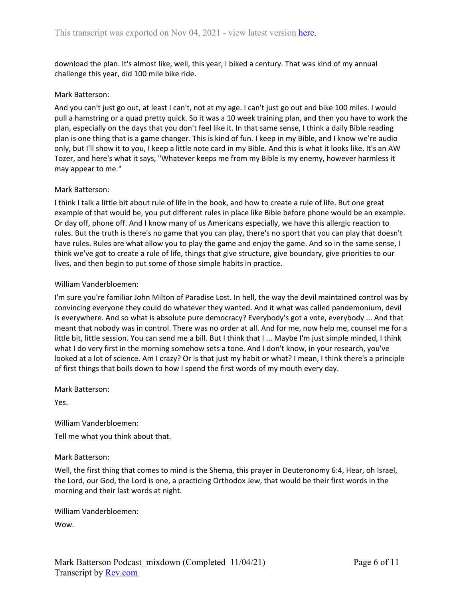download the plan. It's almost like, well, this year, I biked a century. That was kind of my annual challenge this year, did 100 mile bike ride.

#### Mark Batterson:

And you can't just go out, at least I can't, not at my age. I can't just go out and bike 100 miles. I would pull a hamstring or a quad pretty quick. So it was a 10 week training plan, and then you have to work the plan, especially on the days that you don't feel like it. In that same sense, I think a daily Bible reading plan is one thing that is a game changer. This is kind of fun. I keep in my Bible, and I know we're audio only, but I'll show it to you, I keep a little note card in my Bible. And this is what it looks like. It's an AW Tozer, and here's what it says, "Whatever keeps me from my Bible is my enemy, however harmless it may appear to me."

# Mark Batterson:

I think I talk a little bit about rule of life in the book, and how to create a rule of life. But one great example of that would be, you put different rules in place like Bible before phone would be an example. Or day off, phone off. And I know many of us Americans especially, we have this allergic reaction to rules. But the truth is there's no game that you can play, there's no sport that you can play that doesn't have rules. Rules are what allow you to play the game and enjoy the game. And so in the same sense, I think we've got to create a rule of life, things that give structure, give boundary, give priorities to our lives, and then begin to put some of those simple habits in practice.

#### William Vanderbloemen:

I'm sure you're familiar John Milton of Paradise Lost. In hell, the way the devil maintained control was by convincing everyone they could do whatever they wanted. And it what was called pandemonium, devil is everywhere. And so what is absolute pure democracy? Everybody's got a vote, everybody ... And that meant that nobody was in control. There was no order at all. And for me, now help me, counsel me for a little bit, little session. You can send me a bill. But I think that I ... Maybe I'm just simple minded, I think what I do very first in the morning somehow sets a tone. And I don't know, in your research, you've looked at a lot of science. Am I crazy? Or is that just my habit or what? I mean, I think there's a principle of first things that boils down to how I spend the first words of my mouth every day.

Mark Batterson:

Yes.

William Vanderbloemen: Tell me what you think about that.

# Mark Batterson:

Well, the first thing that comes to mind is the Shema, this prayer in Deuteronomy 6:4, Hear, oh Israel, the Lord, our God, the Lord is one, a practicing Orthodox Jew, that would be their first words in the morning and their last words at night.

William Vanderbloemen:

Wow.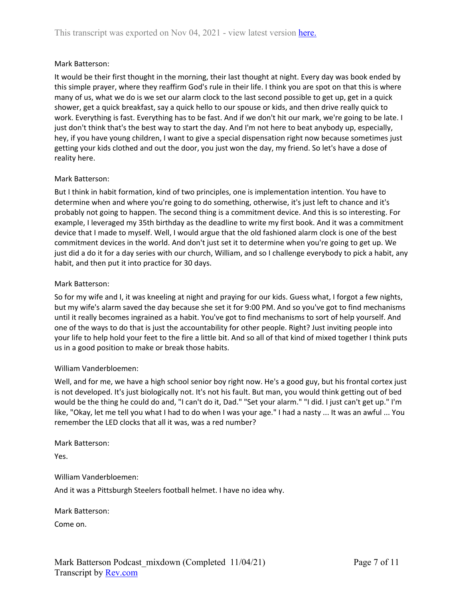# Mark Batterson:

It would be their first thought in the morning, their last thought at night. Every day was book ended by this simple prayer, where they reaffirm God's rule in their life. I think you are spot on that this is where many of us, what we do is we set our alarm clock to the last second possible to get up, get in a quick shower, get a quick breakfast, say a quick hello to our spouse or kids, and then drive really quick to work. Everything is fast. Everything has to be fast. And if we don't hit our mark, we're going to be late. I just don't think that's the best way to start the day. And I'm not here to beat anybody up, especially, hey, if you have young children, I want to give a special dispensation right now because sometimes just getting your kids clothed and out the door, you just won the day, my friend. So let's have a dose of reality here.

#### Mark Batterson:

But I think in habit formation, kind of two principles, one is implementation intention. You have to determine when and where you're going to do something, otherwise, it's just left to chance and it's probably not going to happen. The second thing is a commitment device. And this is so interesting. For example, I leveraged my 35th birthday as the deadline to write my first book. And it was a commitment device that I made to myself. Well, I would argue that the old fashioned alarm clock is one of the best commitment devices in the world. And don't just set it to determine when you're going to get up. We just did a do it for a day series with our church, William, and so I challenge everybody to pick a habit, any habit, and then put it into practice for 30 days.

#### Mark Batterson:

So for my wife and I, it was kneeling at night and praying for our kids. Guess what, I forgot a few nights, but my wife's alarm saved the day because she set it for 9:00 PM. And so you've got to find mechanisms until it really becomes ingrained as a habit. You've got to find mechanisms to sort of help yourself. And one of the ways to do that is just the accountability for other people. Right? Just inviting people into your life to help hold your feet to the fire a little bit. And so all of that kind of mixed together I think puts us in a good position to make or break those habits.

# William Vanderbloemen:

Well, and for me, we have a high school senior boy right now. He's a good guy, but his frontal cortex just is not developed. It's just biologically not. It's not his fault. But man, you would think getting out of bed would be the thing he could do and, "I can't do it, Dad." "Set your alarm." "I did. I just can't get up." I'm like, "Okay, let me tell you what I had to do when I was your age." I had a nasty ... It was an awful ... You remember the LED clocks that all it was, was a red number?

Mark Batterson:

Yes.

William Vanderbloemen:

And it was a Pittsburgh Steelers football helmet. I have no idea why.

Mark Batterson:

Come on.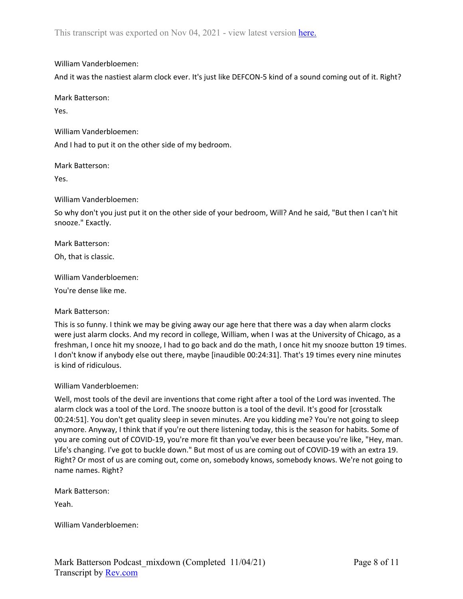William Vanderbloemen:

And it was the nastiest alarm clock ever. It's just like DEFCON-5 kind of a sound coming out of it. Right?

Mark Batterson:

Yes.

William Vanderbloemen: And I had to put it on the other side of my bedroom.

Mark Batterson:

Yes.

William Vanderbloemen:

So why don't you just put it on the other side of your bedroom, Will? And he said, "But then I can't hit snooze." Exactly.

Mark Batterson:

Oh, that is classic.

William Vanderbloemen:

You're dense like me.

Mark Batterson:

This is so funny. I think we may be giving away our age here that there was a day when alarm clocks were just alarm clocks. And my record in college, William, when I was at the University of Chicago, as a freshman, I once hit my snooze, I had to go back and do the math, I once hit my snooze button 19 times. I don't know if anybody else out there, maybe [inaudible 00:24:31]. That's 19 times every nine minutes is kind of ridiculous.

William Vanderbloemen:

Well, most tools of the devil are inventions that come right after a tool of the Lord was invented. The alarm clock was a tool of the Lord. The snooze button is a tool of the devil. It's good for [crosstalk 00:24:51]. You don't get quality sleep in seven minutes. Are you kidding me? You're not going to sleep anymore. Anyway, I think that if you're out there listening today, this is the season for habits. Some of you are coming out of COVID-19, you're more fit than you've ever been because you're like, "Hey, man. Life's changing. I've got to buckle down." But most of us are coming out of COVID-19 with an extra 19. Right? Or most of us are coming out, come on, somebody knows, somebody knows. We're not going to name names. Right?

Mark Batterson:

Yeah.

William Vanderbloemen: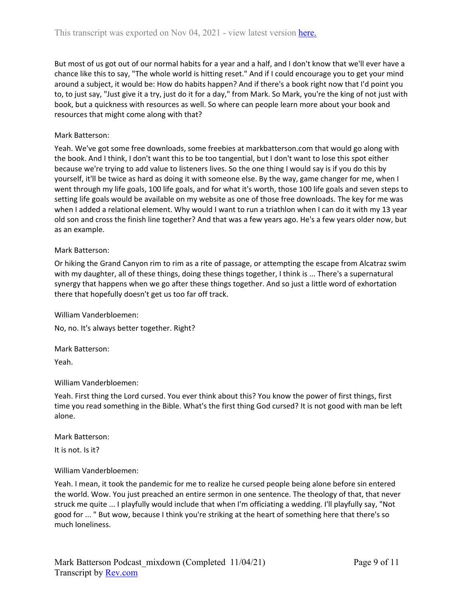But most of us got out of our normal habits for a year and a half, and I don't know that we'll ever have a chance like this to say, "The whole world is hitting reset." And if I could encourage you to get your mind around a subject, it would be: How do habits happen? And if there's a book right now that I'd point you to, to just say, "Just give it a try, just do it for a day," from Mark. So Mark, you're the king of not just with book, but a quickness with resources as well. So where can people learn more about your book and resources that might come along with that?

# Mark Batterson:

Yeah. We've got some free downloads, some freebies at markbatterson.com that would go along with the book. And I think, I don't want this to be too tangential, but I don't want to lose this spot either because we're trying to add value to listeners lives. So the one thing I would say is if you do this by yourself, it'll be twice as hard as doing it with someone else. By the way, game changer for me, when I went through my life goals, 100 life goals, and for what it's worth, those 100 life goals and seven steps to setting life goals would be available on my website as one of those free downloads. The key for me was when I added a relational element. Why would I want to run a triathlon when I can do it with my 13 year old son and cross the finish line together? And that was a few years ago. He's a few years older now, but as an example.

# Mark Batterson:

Or hiking the Grand Canyon rim to rim as a rite of passage, or attempting the escape from Alcatraz swim with my daughter, all of these things, doing these things together, I think is ... There's a supernatural synergy that happens when we go after these things together. And so just a little word of exhortation there that hopefully doesn't get us too far off track.

William Vanderbloemen:

No, no. It's always better together. Right?

Mark Batterson:

Yeah.

William Vanderbloemen:

Yeah. First thing the Lord cursed. You ever think about this? You know the power of first things, first time you read something in the Bible. What's the first thing God cursed? It is not good with man be left alone.

Mark Batterson:

It is not. Is it?

# William Vanderbloemen:

Yeah. I mean, it took the pandemic for me to realize he cursed people being alone before sin entered the world. Wow. You just preached an entire sermon in one sentence. The theology of that, that never struck me quite ... I playfully would include that when I'm officiating a wedding. I'll playfully say, "Not good for ... " But wow, because I think you're striking at the heart of something here that there's so much loneliness.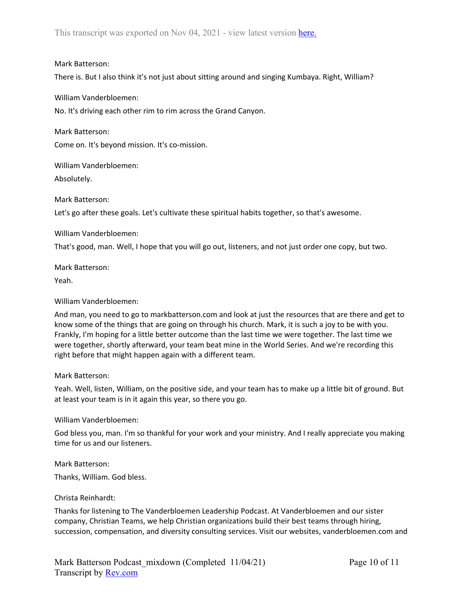# Mark Batterson:

There is. But I also think it's not just about sitting around and singing Kumbaya. Right, William?

William Vanderbloemen:

No. It's driving each other rim to rim across the Grand Canyon.

Mark Batterson: Come on. It's beyond mission. It's co-mission.

William Vanderbloemen: Absolutely.

Mark Batterson:

Let's go after these goals. Let's cultivate these spiritual habits together, so that's awesome.

William Vanderbloemen:

That's good, man. Well, I hope that you will go out, listeners, and not just order one copy, but two.

Mark Batterson:

Yeah.

# William Vanderbloemen:

And man, you need to go to markbatterson.com and look at just the resources that are there and get to know some of the things that are going on through his church. Mark, it is such a joy to be with you. Frankly, I'm hoping for a little better outcome than the last time we were together. The last time we were together, shortly afterward, your team beat mine in the World Series. And we're recording this right before that might happen again with a different team.

Mark Batterson:

Yeah. Well, listen, William, on the positive side, and your team has to make up a little bit of ground. But at least your team is in it again this year, so there you go.

# William Vanderbloemen:

God bless you, man. I'm so thankful for your work and your ministry. And I really appreciate you making time for us and our listeners.

Mark Batterson:

Thanks, William. God bless.

# Christa Reinhardt:

Thanks for listening to The Vanderbloemen Leadership Podcast. At Vanderbloemen and our sister company, Christian Teams, we help Christian organizations build their best teams through hiring, succession, compensation, and diversity consulting services. Visit our websites, vanderbloemen.com and